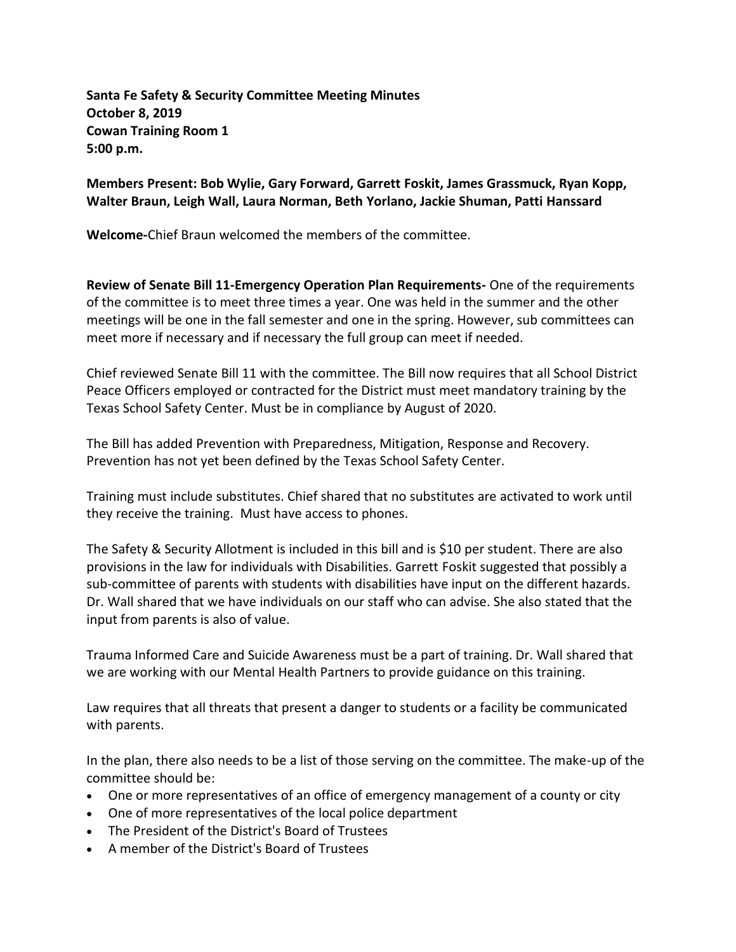**Santa Fe Safety & Security Committee Meeting Minutes October 8, 2019 Cowan Training Room 1 5:00 p.m.**

**Members Present: Bob Wylie, Gary Forward, Garrett Foskit, James Grassmuck, Ryan Kopp, Walter Braun, Leigh Wall, Laura Norman, Beth Yorlano, Jackie Shuman, Patti Hanssard**

**Welcome-**Chief Braun welcomed the members of the committee.

**Review of Senate Bill 11-Emergency Operation Plan Requirements-** One of the requirements of the committee is to meet three times a year. One was held in the summer and the other meetings will be one in the fall semester and one in the spring. However, sub committees can meet more if necessary and if necessary the full group can meet if needed.

Chief reviewed Senate Bill 11 with the committee. The Bill now requires that all School District Peace Officers employed or contracted for the District must meet mandatory training by the Texas School Safety Center. Must be in compliance by August of 2020.

The Bill has added Prevention with Preparedness, Mitigation, Response and Recovery. Prevention has not yet been defined by the Texas School Safety Center.

Training must include substitutes. Chief shared that no substitutes are activated to work until they receive the training. Must have access to phones.

The Safety & Security Allotment is included in this bill and is \$10 per student. There are also provisions in the law for individuals with Disabilities. Garrett Foskit suggested that possibly a sub-committee of parents with students with disabilities have input on the different hazards. Dr. Wall shared that we have individuals on our staff who can advise. She also stated that the input from parents is also of value.

Trauma Informed Care and Suicide Awareness must be a part of training. Dr. Wall shared that we are working with our Mental Health Partners to provide guidance on this training.

Law requires that all threats that present a danger to students or a facility be communicated with parents.

In the plan, there also needs to be a list of those serving on the committee. The make-up of the committee should be:

- One or more representatives of an office of emergency management of a county or city
- One of more representatives of the local police department
- The President of the District's Board of Trustees
- A member of the District's Board of Trustees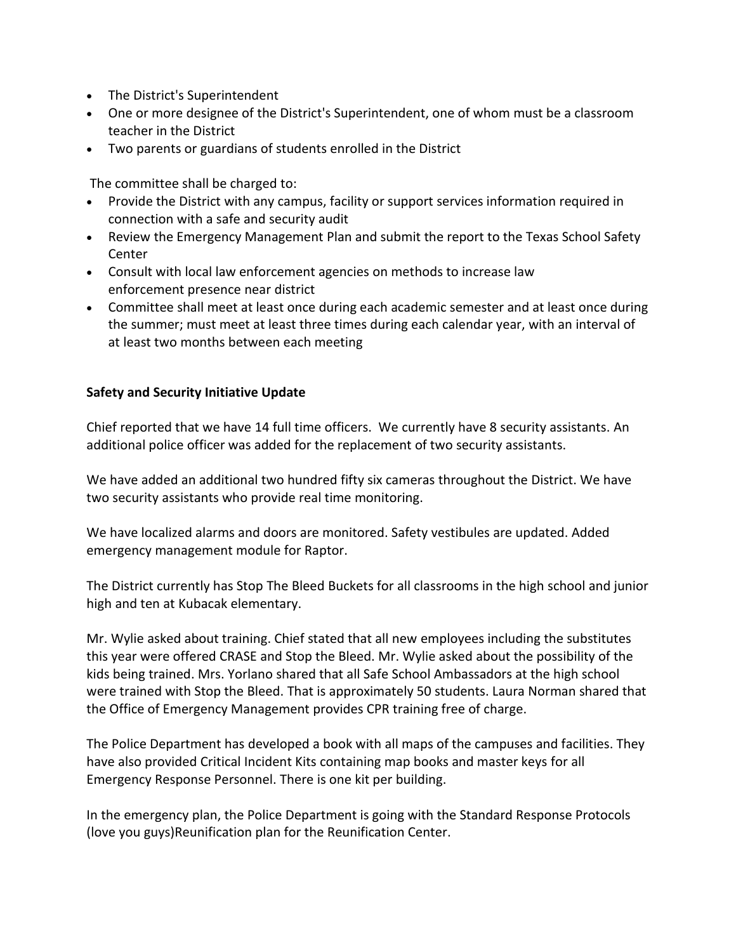- The District's Superintendent
- One or more designee of the District's Superintendent, one of whom must be a classroom teacher in the District
- Two parents or guardians of students enrolled in the District

The committee shall be charged to:

- Provide the District with any campus, facility or support services information required in connection with a safe and security audit
- Review the Emergency Management Plan and submit the report to the Texas School Safety Center
- Consult with local law enforcement agencies on methods to increase law enforcement presence near district
- Committee shall meet at least once during each academic semester and at least once during the summer; must meet at least three times during each calendar year, with an interval of at least two months between each meeting

## **Safety and Security Initiative Update**

Chief reported that we have 14 full time officers.We currently have 8 security assistants. An additional police officer was added for the replacement of two security assistants.

We have added an additional two hundred fifty six cameras throughout the District. We have two security assistants who provide real time monitoring.

We have localized alarms and doors are monitored. Safety vestibules are updated. Added emergency management module for Raptor.

The District currently has Stop The Bleed Buckets for all classrooms in the high school and junior high and ten at Kubacak elementary.

Mr. Wylie asked about training. Chief stated that all new employees including the substitutes this year were offered CRASE and Stop the Bleed. Mr. Wylie asked about the possibility of the kids being trained. Mrs. Yorlano shared that all Safe School Ambassadors at the high school were trained with Stop the Bleed. That is approximately 50 students. Laura Norman shared that the Office of Emergency Management provides CPR training free of charge.

The Police Department has developed a book with all maps of the campuses and facilities. They have also provided Critical Incident Kits containing map books and master keys for all Emergency Response Personnel. There is one kit per building.

In the emergency plan, the Police Department is going with the Standard Response Protocols (love you guys)Reunification plan for the Reunification Center.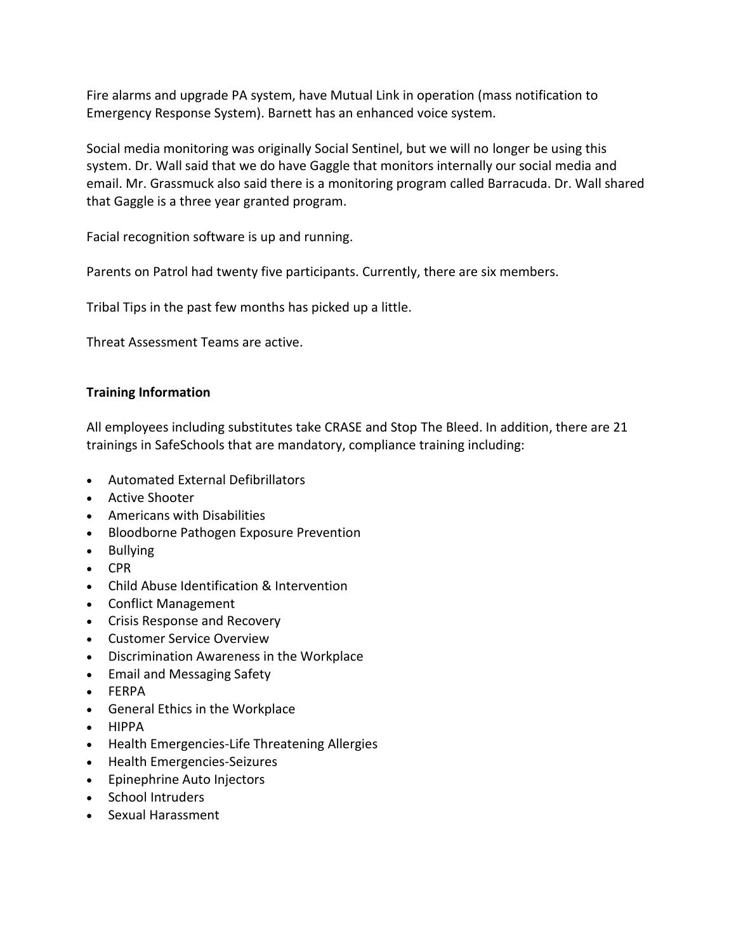Fire alarms and upgrade PA system, have Mutual Link in operation (mass notification to Emergency Response System). Barnett has an enhanced voice system.

Social media monitoring was originally Social Sentinel, but we will no longer be using this system. Dr. Wall said that we do have Gaggle that monitors internally our social media and email. Mr. Grassmuck also said there is a monitoring program called Barracuda. Dr. Wall shared that Gaggle is a three year granted program.

Facial recognition software is up and running.

Parents on Patrol had twenty five participants. Currently, there are six members.

Tribal Tips in the past few months has picked up a little.

Threat Assessment Teams are active.

## **Training Information**

All employees including substitutes take CRASE and Stop The Bleed. In addition, there are 21 trainings in SafeSchools that are mandatory, compliance training including:

- Automated External Defibrillators
- Active Shooter
- Americans with Disabilities
- Bloodborne Pathogen Exposure Prevention
- Bullying
- CPR
- Child Abuse Identification & Intervention
- Conflict Management
- Crisis Response and Recovery
- Customer Service Overview
- Discrimination Awareness in the Workplace
- Email and Messaging Safety
- FERPA
- General Ethics in the Workplace
- HIPPA
- Health Emergencies-Life Threatening Allergies
- Health Emergencies-Seizures
- Epinephrine Auto Injectors
- School Intruders
- Sexual Harassment